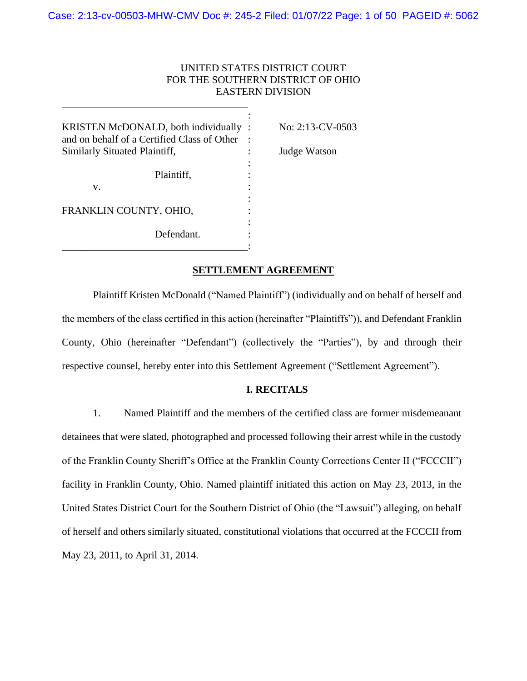# UNITED STATES DISTRICT COURT FOR THE SOUTHERN DISTRICT OF OHIO EASTERN DIVISION

| KRISTEN McDONALD, both individually<br>and on behalf of a Certified Class of Other<br>Similarly Situated Plaintiff, | No: 2:13-CV-0503<br>Judge Watson |
|---------------------------------------------------------------------------------------------------------------------|----------------------------------|
| Plaintiff,<br>V.                                                                                                    |                                  |
| FRANKLIN COUNTY, OHIO,                                                                                              |                                  |
| Defendant.                                                                                                          |                                  |

\_\_\_\_\_\_\_\_\_\_\_\_\_\_\_\_\_\_\_\_\_\_\_\_\_\_\_\_\_\_\_\_\_\_\_\_

## **SETTLEMENT AGREEMENT**

Plaintiff Kristen McDonald ("Named Plaintiff") (individually and on behalf of herself and the members of the class certified in this action (hereinafter "Plaintiffs")), and Defendant Franklin County, Ohio (hereinafter "Defendant") (collectively the "Parties"), by and through their respective counsel, hereby enter into this Settlement Agreement ("Settlement Agreement").

# **I. RECITALS**

1. Named Plaintiff and the members of the certified class are former misdemeanant detainees that were slated, photographed and processed following their arrest while in the custody of the Franklin County Sheriff's Office at the Franklin County Corrections Center II ("FCCCII") facility in Franklin County, Ohio. Named plaintiff initiated this action on May 23, 2013, in the United States District Court for the Southern District of Ohio (the "Lawsuit") alleging, on behalf of herself and others similarly situated, constitutional violations that occurred at the FCCCII from May 23, 2011, to April 31, 2014.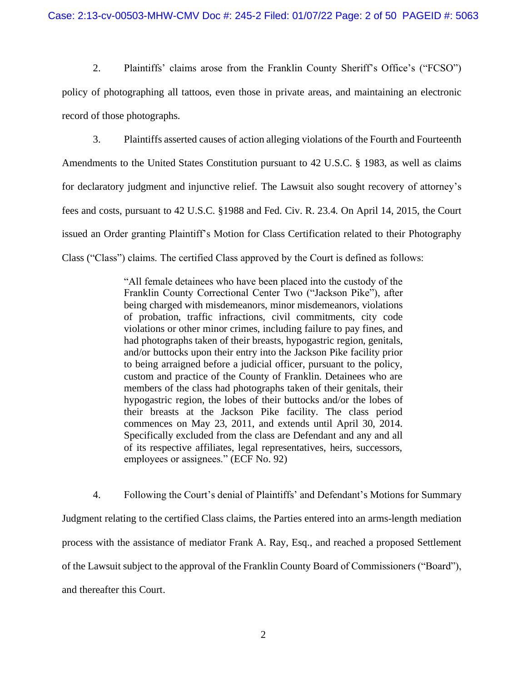2. Plaintiffs' claims arose from the Franklin County Sheriff's Office's ("FCSO") policy of photographing all tattoos, even those in private areas, and maintaining an electronic record of those photographs.

3. Plaintiffs asserted causes of action alleging violations of the Fourth and Fourteenth Amendments to the United States Constitution pursuant to 42 U.S.C. § 1983, as well as claims for declaratory judgment and injunctive relief. The Lawsuit also sought recovery of attorney's fees and costs, pursuant to 42 U.S.C. §1988 and Fed. Civ. R. 23.4. On April 14, 2015, the Court issued an Order granting Plaintiff's Motion for Class Certification related to their Photography Class ("Class") claims. The certified Class approved by the Court is defined as follows:

> "All female detainees who have been placed into the custody of the Franklin County Correctional Center Two ("Jackson Pike"), after being charged with misdemeanors, minor misdemeanors, violations of probation, traffic infractions, civil commitments, city code violations or other minor crimes, including failure to pay fines, and had photographs taken of their breasts, hypogastric region, genitals, and/or buttocks upon their entry into the Jackson Pike facility prior to being arraigned before a judicial officer, pursuant to the policy, custom and practice of the County of Franklin. Detainees who are members of the class had photographs taken of their genitals, their hypogastric region, the lobes of their buttocks and/or the lobes of their breasts at the Jackson Pike facility. The class period commences on May 23, 2011, and extends until April 30, 2014. Specifically excluded from the class are Defendant and any and all of its respective affiliates, legal representatives, heirs, successors, employees or assignees." (ECF No. 92)

4. Following the Court's denial of Plaintiffs' and Defendant's Motions for Summary Judgment relating to the certified Class claims, the Parties entered into an arms-length mediation process with the assistance of mediator Frank A. Ray, Esq., and reached a proposed Settlement of the Lawsuit subject to the approval of the Franklin County Board of Commissioners ("Board"), and thereafter this Court.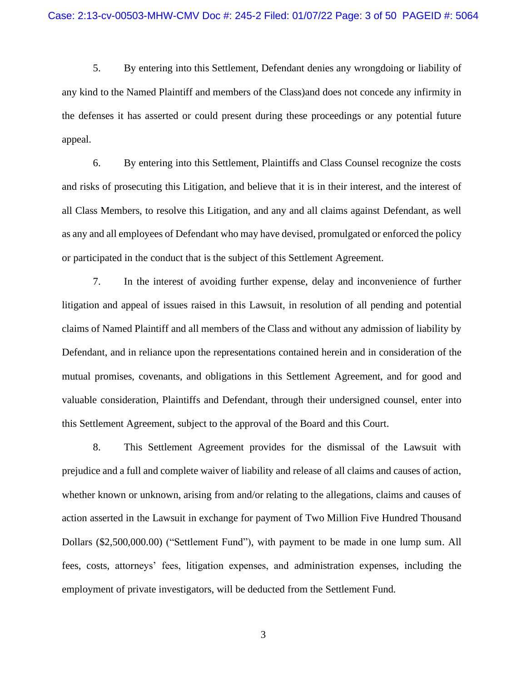5. By entering into this Settlement, Defendant denies any wrongdoing or liability of any kind to the Named Plaintiff and members of the Class)and does not concede any infirmity in the defenses it has asserted or could present during these proceedings or any potential future appeal.

6. By entering into this Settlement, Plaintiffs and Class Counsel recognize the costs and risks of prosecuting this Litigation, and believe that it is in their interest, and the interest of all Class Members, to resolve this Litigation, and any and all claims against Defendant, as well as any and all employees of Defendant who may have devised, promulgated or enforced the policy or participated in the conduct that is the subject of this Settlement Agreement.

7. In the interest of avoiding further expense, delay and inconvenience of further litigation and appeal of issues raised in this Lawsuit, in resolution of all pending and potential claims of Named Plaintiff and all members of the Class and without any admission of liability by Defendant, and in reliance upon the representations contained herein and in consideration of the mutual promises, covenants, and obligations in this Settlement Agreement, and for good and valuable consideration, Plaintiffs and Defendant, through their undersigned counsel, enter into this Settlement Agreement, subject to the approval of the Board and this Court.

8. This Settlement Agreement provides for the dismissal of the Lawsuit with prejudice and a full and complete waiver of liability and release of all claims and causes of action, whether known or unknown, arising from and/or relating to the allegations, claims and causes of action asserted in the Lawsuit in exchange for payment of Two Million Five Hundred Thousand Dollars (\$2,500,000.00) ("Settlement Fund"), with payment to be made in one lump sum. All fees, costs, attorneys' fees, litigation expenses, and administration expenses, including the employment of private investigators, will be deducted from the Settlement Fund.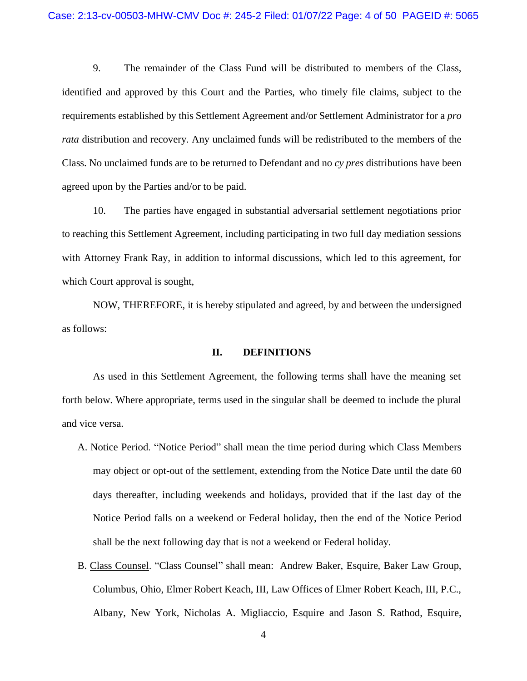9. The remainder of the Class Fund will be distributed to members of the Class, identified and approved by this Court and the Parties, who timely file claims, subject to the requirements established by this Settlement Agreement and/or Settlement Administrator for a *pro rata* distribution and recovery. Any unclaimed funds will be redistributed to the members of the Class. No unclaimed funds are to be returned to Defendant and no *cy pres* distributions have been agreed upon by the Parties and/or to be paid.

10. The parties have engaged in substantial adversarial settlement negotiations prior to reaching this Settlement Agreement, including participating in two full day mediation sessions with Attorney Frank Ray, in addition to informal discussions, which led to this agreement, for which Court approval is sought,

NOW, THEREFORE, it is hereby stipulated and agreed, by and between the undersigned as follows:

## **II. DEFINITIONS**

As used in this Settlement Agreement, the following terms shall have the meaning set forth below. Where appropriate, terms used in the singular shall be deemed to include the plural and vice versa.

- A. Notice Period. "Notice Period" shall mean the time period during which Class Members may object or opt-out of the settlement, extending from the Notice Date until the date 60 days thereafter, including weekends and holidays, provided that if the last day of the Notice Period falls on a weekend or Federal holiday, then the end of the Notice Period shall be the next following day that is not a weekend or Federal holiday.
- B. Class Counsel. "Class Counsel" shall mean: Andrew Baker, Esquire, Baker Law Group, Columbus, Ohio, Elmer Robert Keach, III, Law Offices of Elmer Robert Keach, III, P.C., Albany, New York, Nicholas A. Migliaccio, Esquire and Jason S. Rathod, Esquire,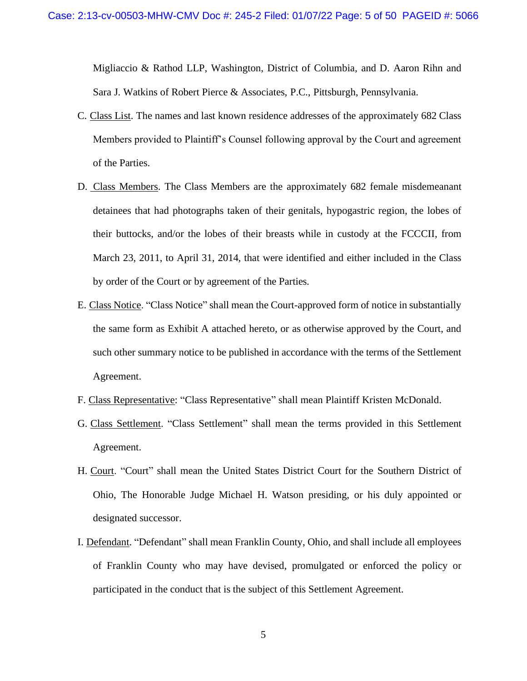Migliaccio & Rathod LLP, Washington, District of Columbia, and D. Aaron Rihn and Sara J. Watkins of Robert Pierce & Associates, P.C., Pittsburgh, Pennsylvania.

- C. Class List. The names and last known residence addresses of the approximately 682 Class Members provided to Plaintiff's Counsel following approval by the Court and agreement of the Parties.
- D. Class Members. The Class Members are the approximately 682 female misdemeanant detainees that had photographs taken of their genitals, hypogastric region, the lobes of their buttocks, and/or the lobes of their breasts while in custody at the FCCCII, from March 23, 2011, to April 31, 2014, that were identified and either included in the Class by order of the Court or by agreement of the Parties.
- E. Class Notice. "Class Notice" shall mean the Court-approved form of notice in substantially the same form as Exhibit A attached hereto, or as otherwise approved by the Court, and such other summary notice to be published in accordance with the terms of the Settlement Agreement.
- F. Class Representative: "Class Representative" shall mean Plaintiff Kristen McDonald.
- G. Class Settlement. "Class Settlement" shall mean the terms provided in this Settlement Agreement.
- H. Court. "Court" shall mean the United States District Court for the Southern District of Ohio, The Honorable Judge Michael H. Watson presiding, or his duly appointed or designated successor.
- I. Defendant. "Defendant" shall mean Franklin County, Ohio, and shall include all employees of Franklin County who may have devised, promulgated or enforced the policy or participated in the conduct that is the subject of this Settlement Agreement.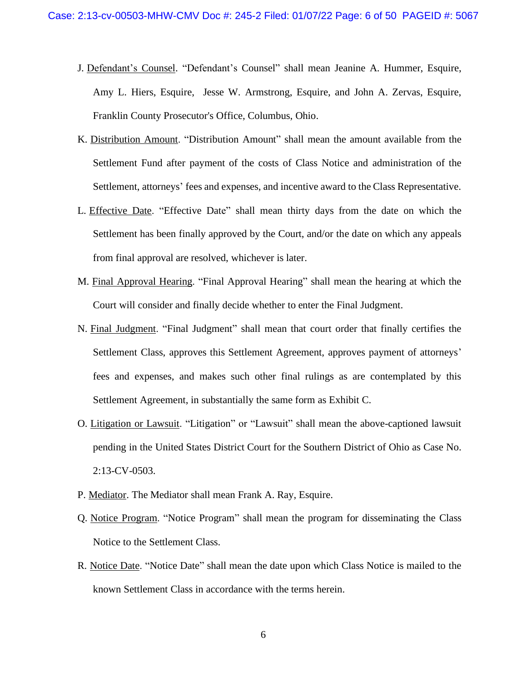- J. Defendant's Counsel. "Defendant's Counsel" shall mean Jeanine A. Hummer, Esquire, Amy L. Hiers, Esquire, Jesse W. Armstrong, Esquire, and John A. Zervas, Esquire, Franklin County Prosecutor's Office, Columbus, Ohio.
- K. Distribution Amount. "Distribution Amount" shall mean the amount available from the Settlement Fund after payment of the costs of Class Notice and administration of the Settlement, attorneys' fees and expenses, and incentive award to the Class Representative.
- L. Effective Date. "Effective Date" shall mean thirty days from the date on which the Settlement has been finally approved by the Court, and/or the date on which any appeals from final approval are resolved, whichever is later.
- M. Final Approval Hearing. "Final Approval Hearing" shall mean the hearing at which the Court will consider and finally decide whether to enter the Final Judgment.
- N. Final Judgment. "Final Judgment" shall mean that court order that finally certifies the Settlement Class, approves this Settlement Agreement, approves payment of attorneys' fees and expenses, and makes such other final rulings as are contemplated by this Settlement Agreement, in substantially the same form as Exhibit C.
- O. Litigation or Lawsuit. "Litigation" or "Lawsuit" shall mean the above-captioned lawsuit pending in the United States District Court for the Southern District of Ohio as Case No. 2:13-CV-0503.
- P. Mediator. The Mediator shall mean Frank A. Ray, Esquire.
- Q. Notice Program. "Notice Program" shall mean the program for disseminating the Class Notice to the Settlement Class.
- R. Notice Date. "Notice Date" shall mean the date upon which Class Notice is mailed to the known Settlement Class in accordance with the terms herein.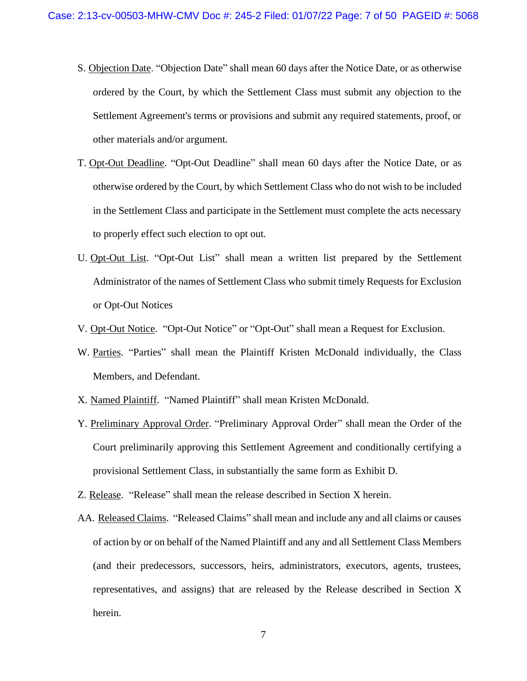- S. Objection Date. "Objection Date" shall mean 60 days after the Notice Date, or as otherwise ordered by the Court, by which the Settlement Class must submit any objection to the Settlement Agreement's terms or provisions and submit any required statements, proof, or other materials and/or argument.
- T. Opt-Out Deadline. "Opt-Out Deadline" shall mean 60 days after the Notice Date, or as otherwise ordered by the Court, by which Settlement Class who do not wish to be included in the Settlement Class and participate in the Settlement must complete the acts necessary to properly effect such election to opt out.
- U. Opt-Out List. "Opt-Out List" shall mean a written list prepared by the Settlement Administrator of the names of Settlement Class who submit timely Requests for Exclusion or Opt-Out Notices
- V. Opt-Out Notice. "Opt-Out Notice" or "Opt-Out" shall mean a Request for Exclusion.
- W. Parties. "Parties" shall mean the Plaintiff Kristen McDonald individually, the Class Members, and Defendant.
- X. Named Plaintiff. "Named Plaintiff" shall mean Kristen McDonald.
- Y. Preliminary Approval Order. "Preliminary Approval Order" shall mean the Order of the Court preliminarily approving this Settlement Agreement and conditionally certifying a provisional Settlement Class, in substantially the same form as Exhibit D.
- Z. Release. "Release" shall mean the release described in Section X herein.
- AA. Released Claims. "Released Claims" shall mean and include any and all claims or causes of action by or on behalf of the Named Plaintiff and any and all Settlement Class Members (and their predecessors, successors, heirs, administrators, executors, agents, trustees, representatives, and assigns) that are released by the Release described in Section X herein.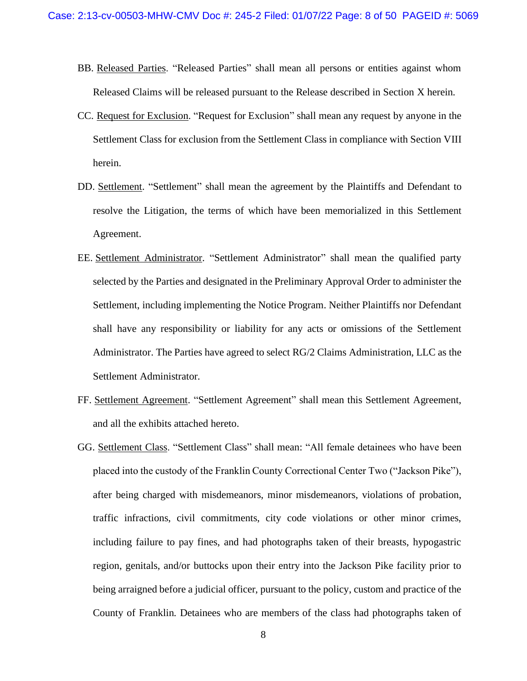- BB. Released Parties. "Released Parties" shall mean all persons or entities against whom Released Claims will be released pursuant to the Release described in Section X herein.
- CC. Request for Exclusion. "Request for Exclusion" shall mean any request by anyone in the Settlement Class for exclusion from the Settlement Class in compliance with Section VIII herein.
- DD. Settlement. "Settlement" shall mean the agreement by the Plaintiffs and Defendant to resolve the Litigation, the terms of which have been memorialized in this Settlement Agreement.
- EE. Settlement Administrator. "Settlement Administrator" shall mean the qualified party selected by the Parties and designated in the Preliminary Approval Order to administer the Settlement, including implementing the Notice Program. Neither Plaintiffs nor Defendant shall have any responsibility or liability for any acts or omissions of the Settlement Administrator. The Parties have agreed to select RG/2 Claims Administration, LLC as the Settlement Administrator.
- FF. Settlement Agreement. "Settlement Agreement" shall mean this Settlement Agreement, and all the exhibits attached hereto.
- GG. Settlement Class. "Settlement Class" shall mean: "All female detainees who have been placed into the custody of the Franklin County Correctional Center Two ("Jackson Pike"), after being charged with misdemeanors, minor misdemeanors, violations of probation, traffic infractions, civil commitments, city code violations or other minor crimes, including failure to pay fines, and had photographs taken of their breasts, hypogastric region, genitals, and/or buttocks upon their entry into the Jackson Pike facility prior to being arraigned before a judicial officer, pursuant to the policy, custom and practice of the County of Franklin. Detainees who are members of the class had photographs taken of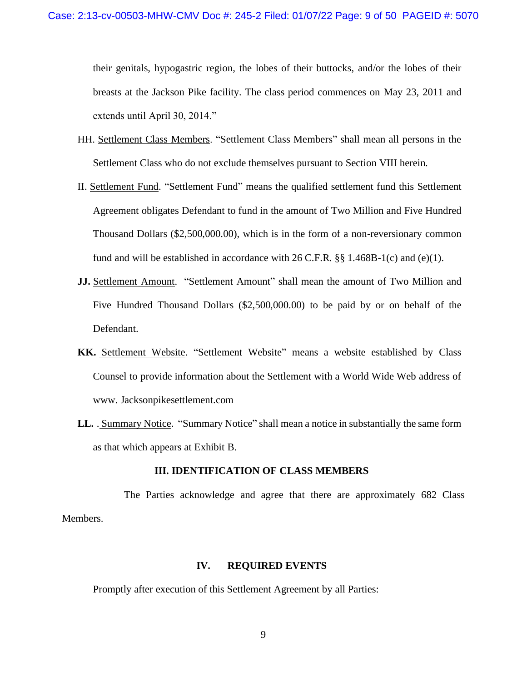their genitals, hypogastric region, the lobes of their buttocks, and/or the lobes of their breasts at the Jackson Pike facility. The class period commences on May 23, 2011 and extends until April 30, 2014."

- HH. Settlement Class Members. "Settlement Class Members" shall mean all persons in the Settlement Class who do not exclude themselves pursuant to Section VIII herein.
- II. Settlement Fund. "Settlement Fund" means the qualified settlement fund this Settlement Agreement obligates Defendant to fund in the amount of Two Million and Five Hundred Thousand Dollars (\$2,500,000.00), which is in the form of a non-reversionary common fund and will be established in accordance with  $26$  C.F.R.  $\S$ § 1.468B-1(c) and (e)(1).
- **JJ.** Settlement Amount. "Settlement Amount" shall mean the amount of Two Million and Five Hundred Thousand Dollars (\$2,500,000.00) to be paid by or on behalf of the Defendant.
- **KK.** Settlement Website. "Settlement Website" means a website established by Class Counsel to provide information about the Settlement with a World Wide Web address of www. Jacksonpikesettlement.com
- **LL.** . Summary Notice. "Summary Notice" shall mean a notice in substantially the same form as that which appears at Exhibit B.

## **III. IDENTIFICATION OF CLASS MEMBERS**

The Parties acknowledge and agree that there are approximately 682 Class Members.

## **IV. REQUIRED EVENTS**

Promptly after execution of this Settlement Agreement by all Parties: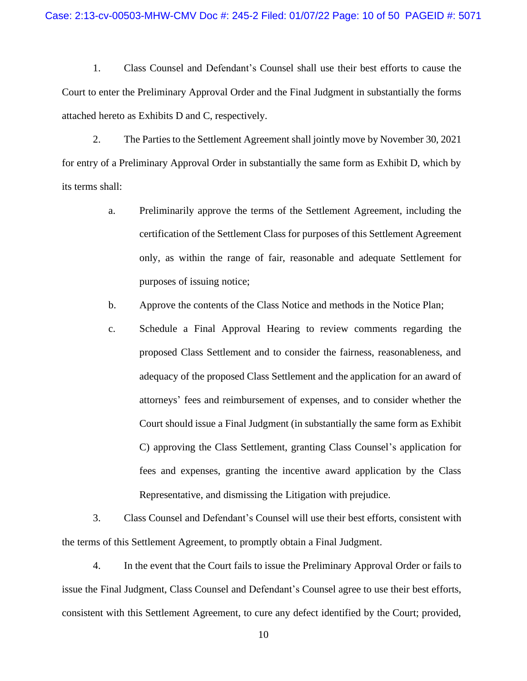1. Class Counsel and Defendant's Counsel shall use their best efforts to cause the Court to enter the Preliminary Approval Order and the Final Judgment in substantially the forms attached hereto as Exhibits D and C, respectively.

2. The Parties to the Settlement Agreement shall jointly move by November 30, 2021 for entry of a Preliminary Approval Order in substantially the same form as Exhibit D, which by its terms shall:

- a. Preliminarily approve the terms of the Settlement Agreement, including the certification of the Settlement Class for purposes of this Settlement Agreement only, as within the range of fair, reasonable and adequate Settlement for purposes of issuing notice;
- b. Approve the contents of the Class Notice and methods in the Notice Plan;
- c. Schedule a Final Approval Hearing to review comments regarding the proposed Class Settlement and to consider the fairness, reasonableness, and adequacy of the proposed Class Settlement and the application for an award of attorneys' fees and reimbursement of expenses, and to consider whether the Court should issue a Final Judgment (in substantially the same form as Exhibit C) approving the Class Settlement, granting Class Counsel's application for fees and expenses, granting the incentive award application by the Class Representative, and dismissing the Litigation with prejudice.

3. Class Counsel and Defendant's Counsel will use their best efforts, consistent with the terms of this Settlement Agreement, to promptly obtain a Final Judgment.

4. In the event that the Court fails to issue the Preliminary Approval Order or fails to issue the Final Judgment, Class Counsel and Defendant's Counsel agree to use their best efforts, consistent with this Settlement Agreement, to cure any defect identified by the Court; provided,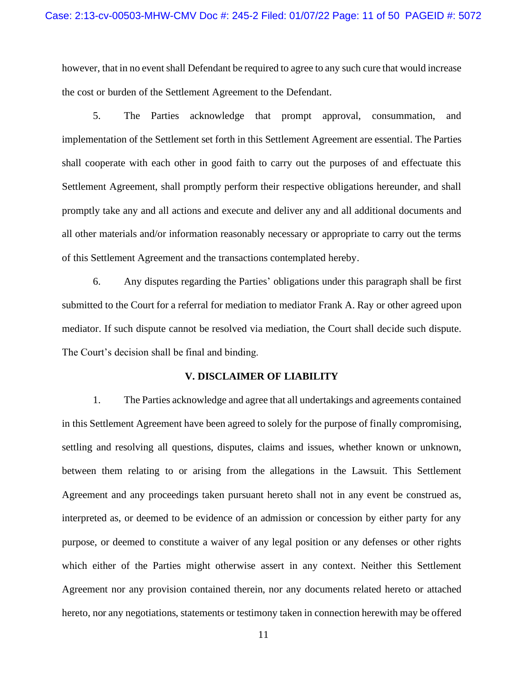however, that in no event shall Defendant be required to agree to any such cure that would increase the cost or burden of the Settlement Agreement to the Defendant.

5. The Parties acknowledge that prompt approval, consummation, and implementation of the Settlement set forth in this Settlement Agreement are essential. The Parties shall cooperate with each other in good faith to carry out the purposes of and effectuate this Settlement Agreement, shall promptly perform their respective obligations hereunder, and shall promptly take any and all actions and execute and deliver any and all additional documents and all other materials and/or information reasonably necessary or appropriate to carry out the terms of this Settlement Agreement and the transactions contemplated hereby.

6. Any disputes regarding the Parties' obligations under this paragraph shall be first submitted to the Court for a referral for mediation to mediator Frank A. Ray or other agreed upon mediator. If such dispute cannot be resolved via mediation, the Court shall decide such dispute. The Court's decision shall be final and binding.

### **V. DISCLAIMER OF LIABILITY**

1. The Parties acknowledge and agree that all undertakings and agreements contained in this Settlement Agreement have been agreed to solely for the purpose of finally compromising, settling and resolving all questions, disputes, claims and issues, whether known or unknown, between them relating to or arising from the allegations in the Lawsuit. This Settlement Agreement and any proceedings taken pursuant hereto shall not in any event be construed as, interpreted as, or deemed to be evidence of an admission or concession by either party for any purpose, or deemed to constitute a waiver of any legal position or any defenses or other rights which either of the Parties might otherwise assert in any context. Neither this Settlement Agreement nor any provision contained therein, nor any documents related hereto or attached hereto, nor any negotiations, statements or testimony taken in connection herewith may be offered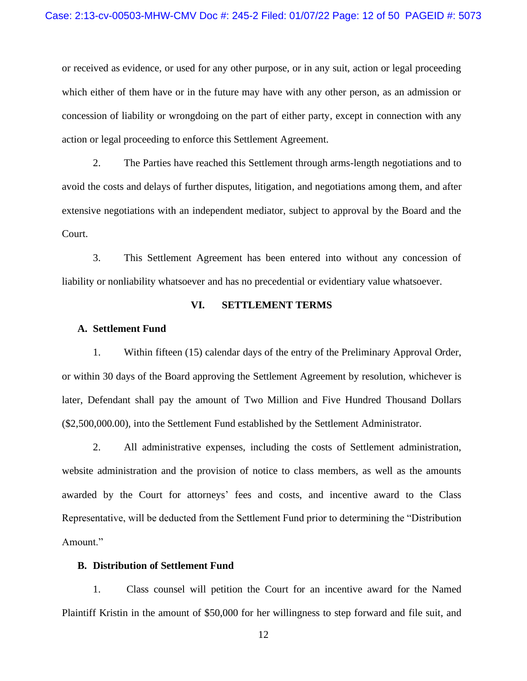or received as evidence, or used for any other purpose, or in any suit, action or legal proceeding which either of them have or in the future may have with any other person, as an admission or concession of liability or wrongdoing on the part of either party, except in connection with any action or legal proceeding to enforce this Settlement Agreement.

2. The Parties have reached this Settlement through arms-length negotiations and to avoid the costs and delays of further disputes, litigation, and negotiations among them, and after extensive negotiations with an independent mediator, subject to approval by the Board and the Court.

3. This Settlement Agreement has been entered into without any concession of liability or nonliability whatsoever and has no precedential or evidentiary value whatsoever.

## **VI. SETTLEMENT TERMS**

## **A. Settlement Fund**

1. Within fifteen (15) calendar days of the entry of the Preliminary Approval Order, or within 30 days of the Board approving the Settlement Agreement by resolution, whichever is later, Defendant shall pay the amount of Two Million and Five Hundred Thousand Dollars (\$2,500,000.00), into the Settlement Fund established by the Settlement Administrator.

2. All administrative expenses, including the costs of Settlement administration, website administration and the provision of notice to class members, as well as the amounts awarded by the Court for attorneys' fees and costs, and incentive award to the Class Representative, will be deducted from the Settlement Fund prior to determining the "Distribution Amount."

## **B. Distribution of Settlement Fund**

1. Class counsel will petition the Court for an incentive award for the Named Plaintiff Kristin in the amount of \$50,000 for her willingness to step forward and file suit, and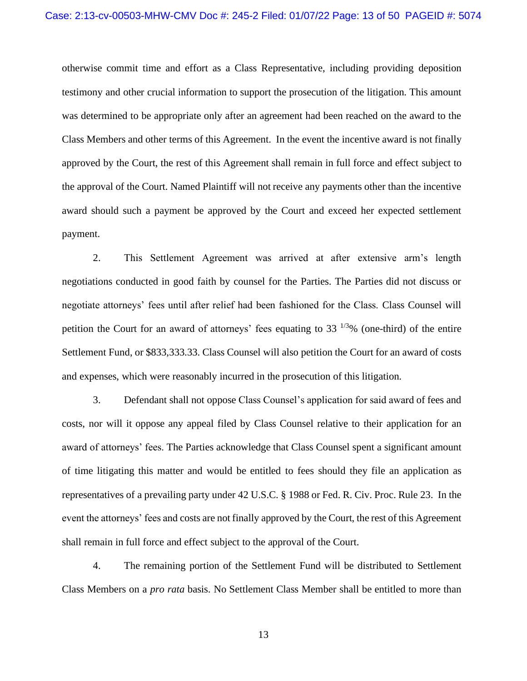otherwise commit time and effort as a Class Representative, including providing deposition testimony and other crucial information to support the prosecution of the litigation. This amount was determined to be appropriate only after an agreement had been reached on the award to the Class Members and other terms of this Agreement. In the event the incentive award is not finally approved by the Court, the rest of this Agreement shall remain in full force and effect subject to the approval of the Court. Named Plaintiff will not receive any payments other than the incentive award should such a payment be approved by the Court and exceed her expected settlement payment.

2. This Settlement Agreement was arrived at after extensive arm's length negotiations conducted in good faith by counsel for the Parties. The Parties did not discuss or negotiate attorneys' fees until after relief had been fashioned for the Class. Class Counsel will petition the Court for an award of attorneys' fees equating to  $33^{1/3}\%$  (one-third) of the entire Settlement Fund, or \$833,333.33. Class Counsel will also petition the Court for an award of costs and expenses, which were reasonably incurred in the prosecution of this litigation.

3. Defendant shall not oppose Class Counsel's application for said award of fees and costs, nor will it oppose any appeal filed by Class Counsel relative to their application for an award of attorneys' fees. The Parties acknowledge that Class Counsel spent a significant amount of time litigating this matter and would be entitled to fees should they file an application as representatives of a prevailing party under 42 U.S.C. § 1988 or Fed. R. Civ. Proc. Rule 23. In the event the attorneys' fees and costs are not finally approved by the Court, the rest of this Agreement shall remain in full force and effect subject to the approval of the Court.

4. The remaining portion of the Settlement Fund will be distributed to Settlement Class Members on a *pro rata* basis. No Settlement Class Member shall be entitled to more than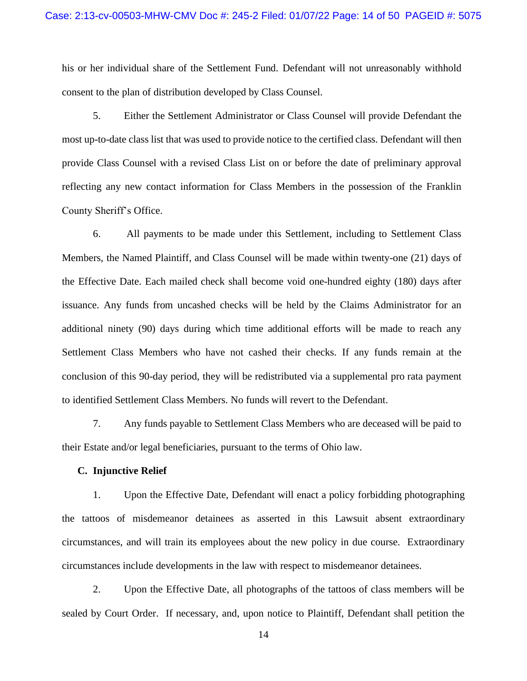his or her individual share of the Settlement Fund. Defendant will not unreasonably withhold consent to the plan of distribution developed by Class Counsel.

5. Either the Settlement Administrator or Class Counsel will provide Defendant the most up-to-date class list that was used to provide notice to the certified class. Defendant will then provide Class Counsel with a revised Class List on or before the date of preliminary approval reflecting any new contact information for Class Members in the possession of the Franklin County Sheriff's Office.

6. All payments to be made under this Settlement, including to Settlement Class Members, the Named Plaintiff, and Class Counsel will be made within twenty-one (21) days of the Effective Date. Each mailed check shall become void one-hundred eighty (180) days after issuance. Any funds from uncashed checks will be held by the Claims Administrator for an additional ninety (90) days during which time additional efforts will be made to reach any Settlement Class Members who have not cashed their checks. If any funds remain at the conclusion of this 90-day period, they will be redistributed via a supplemental pro rata payment to identified Settlement Class Members. No funds will revert to the Defendant.

7. Any funds payable to Settlement Class Members who are deceased will be paid to their Estate and/or legal beneficiaries, pursuant to the terms of Ohio law.

## **C. Injunctive Relief**

1. Upon the Effective Date, Defendant will enact a policy forbidding photographing the tattoos of misdemeanor detainees as asserted in this Lawsuit absent extraordinary circumstances, and will train its employees about the new policy in due course. Extraordinary circumstances include developments in the law with respect to misdemeanor detainees.

2. Upon the Effective Date, all photographs of the tattoos of class members will be sealed by Court Order. If necessary, and, upon notice to Plaintiff, Defendant shall petition the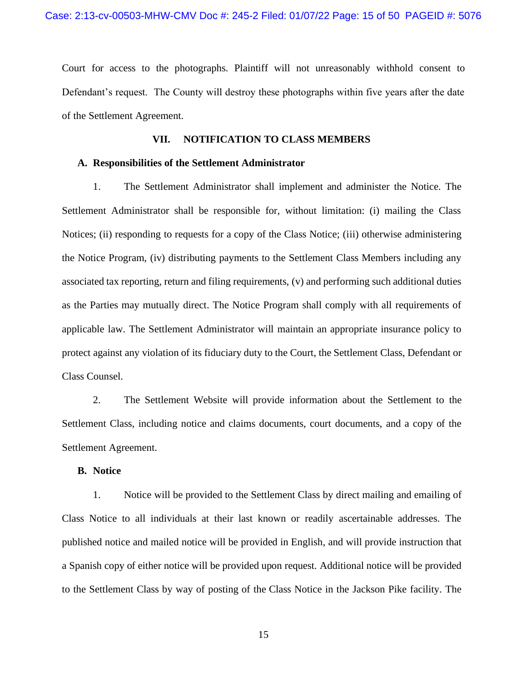Court for access to the photographs. Plaintiff will not unreasonably withhold consent to Defendant's request. The County will destroy these photographs within five years after the date of the Settlement Agreement.

## **VII. NOTIFICATION TO CLASS MEMBERS**

#### **A. Responsibilities of the Settlement Administrator**

1. The Settlement Administrator shall implement and administer the Notice. The Settlement Administrator shall be responsible for, without limitation: (i) mailing the Class Notices; (ii) responding to requests for a copy of the Class Notice; (iii) otherwise administering the Notice Program, (iv) distributing payments to the Settlement Class Members including any associated tax reporting, return and filing requirements, (v) and performing such additional duties as the Parties may mutually direct. The Notice Program shall comply with all requirements of applicable law. The Settlement Administrator will maintain an appropriate insurance policy to protect against any violation of its fiduciary duty to the Court, the Settlement Class, Defendant or Class Counsel.

2. The Settlement Website will provide information about the Settlement to the Settlement Class, including notice and claims documents, court documents, and a copy of the Settlement Agreement.

## **B. Notice**

1. Notice will be provided to the Settlement Class by direct mailing and emailing of Class Notice to all individuals at their last known or readily ascertainable addresses. The published notice and mailed notice will be provided in English, and will provide instruction that a Spanish copy of either notice will be provided upon request. Additional notice will be provided to the Settlement Class by way of posting of the Class Notice in the Jackson Pike facility. The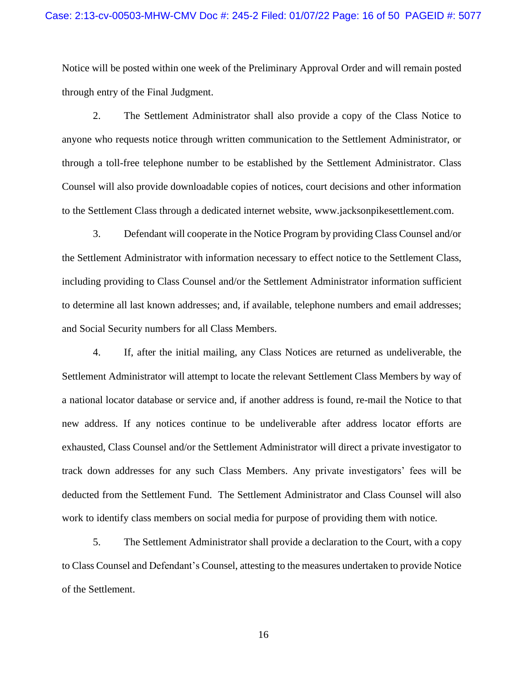## Case: 2:13-cv-00503-MHW-CMV Doc #: 245-2 Filed: 01/07/22 Page: 16 of 50 PAGEID #: 5077

Notice will be posted within one week of the Preliminary Approval Order and will remain posted through entry of the Final Judgment.

2. The Settlement Administrator shall also provide a copy of the Class Notice to anyone who requests notice through written communication to the Settlement Administrator, or through a toll-free telephone number to be established by the Settlement Administrator. Class Counsel will also provide downloadable copies of notices, court decisions and other information to the Settlement Class through a dedicated internet website, www.jacksonpikesettlement.com.

3. Defendant will cooperate in the Notice Program by providing Class Counsel and/or the Settlement Administrator with information necessary to effect notice to the Settlement Class, including providing to Class Counsel and/or the Settlement Administrator information sufficient to determine all last known addresses; and, if available, telephone numbers and email addresses; and Social Security numbers for all Class Members.

4. If, after the initial mailing, any Class Notices are returned as undeliverable, the Settlement Administrator will attempt to locate the relevant Settlement Class Members by way of a national locator database or service and, if another address is found, re-mail the Notice to that new address. If any notices continue to be undeliverable after address locator efforts are exhausted, Class Counsel and/or the Settlement Administrator will direct a private investigator to track down addresses for any such Class Members. Any private investigators' fees will be deducted from the Settlement Fund. The Settlement Administrator and Class Counsel will also work to identify class members on social media for purpose of providing them with notice.

5. The Settlement Administrator shall provide a declaration to the Court, with a copy to Class Counsel and Defendant's Counsel, attesting to the measures undertaken to provide Notice of the Settlement.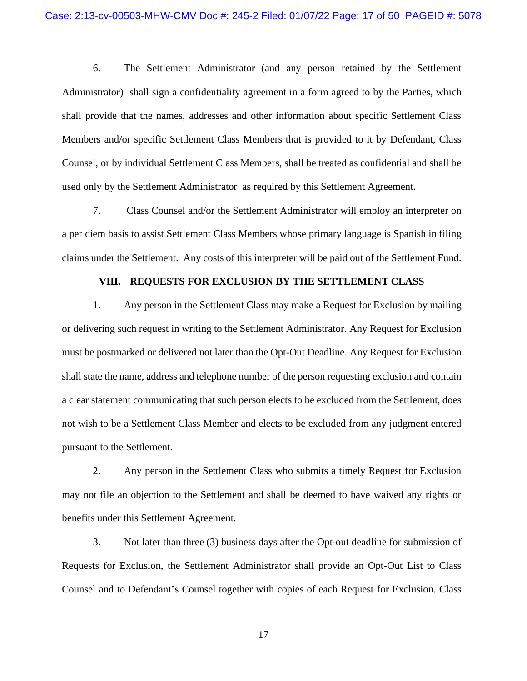6. The Settlement Administrator (and any person retained by the Settlement Administrator) shall sign a confidentiality agreement in a form agreed to by the Parties, which shall provide that the names, addresses and other information about specific Settlement Class Members and/or specific Settlement Class Members that is provided to it by Defendant, Class Counsel, or by individual Settlement Class Members, shall be treated as confidential and shall be used only by the Settlement Administrator as required by this Settlement Agreement.

7. Class Counsel and/or the Settlement Administrator will employ an interpreter on a per diem basis to assist Settlement Class Members whose primary language is Spanish in filing claims under the Settlement. Any costs of this interpreter will be paid out of the Settlement Fund.

## **VIII. REQUESTS FOR EXCLUSION BY THE SETTLEMENT CLASS**

1. Any person in the Settlement Class may make a Request for Exclusion by mailing or delivering such request in writing to the Settlement Administrator. Any Request for Exclusion must be postmarked or delivered not later than the Opt-Out Deadline. Any Request for Exclusion shall state the name, address and telephone number of the person requesting exclusion and contain a clear statement communicating that such person elects to be excluded from the Settlement, does not wish to be a Settlement Class Member and elects to be excluded from any judgment entered pursuant to the Settlement.

2. Any person in the Settlement Class who submits a timely Request for Exclusion may not file an objection to the Settlement and shall be deemed to have waived any rights or benefits under this Settlement Agreement.

3. Not later than three (3) business days after the Opt-out deadline for submission of Requests for Exclusion, the Settlement Administrator shall provide an Opt-Out List to Class Counsel and to Defendant's Counsel together with copies of each Request for Exclusion. Class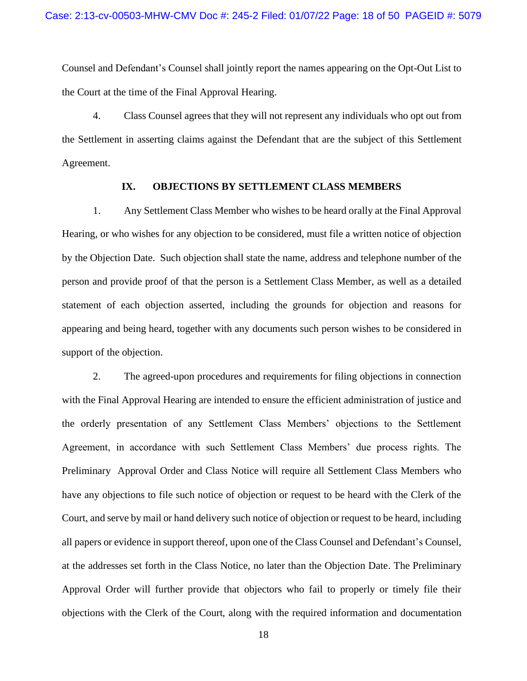Counsel and Defendant's Counsel shall jointly report the names appearing on the Opt-Out List to the Court at the time of the Final Approval Hearing.

4. Class Counsel agrees that they will not represent any individuals who opt out from the Settlement in asserting claims against the Defendant that are the subject of this Settlement Agreement.

## **IX. OBJECTIONS BY SETTLEMENT CLASS MEMBERS**

1. Any Settlement Class Member who wishes to be heard orally at the Final Approval Hearing, or who wishes for any objection to be considered, must file a written notice of objection by the Objection Date. Such objection shall state the name, address and telephone number of the person and provide proof of that the person is a Settlement Class Member, as well as a detailed statement of each objection asserted, including the grounds for objection and reasons for appearing and being heard, together with any documents such person wishes to be considered in support of the objection.

2. The agreed-upon procedures and requirements for filing objections in connection with the Final Approval Hearing are intended to ensure the efficient administration of justice and the orderly presentation of any Settlement Class Members' objections to the Settlement Agreement, in accordance with such Settlement Class Members' due process rights. The Preliminary Approval Order and Class Notice will require all Settlement Class Members who have any objections to file such notice of objection or request to be heard with the Clerk of the Court, and serve by mail or hand delivery such notice of objection or request to be heard, including all papers or evidence in support thereof, upon one of the Class Counsel and Defendant's Counsel, at the addresses set forth in the Class Notice, no later than the Objection Date. The Preliminary Approval Order will further provide that objectors who fail to properly or timely file their objections with the Clerk of the Court, along with the required information and documentation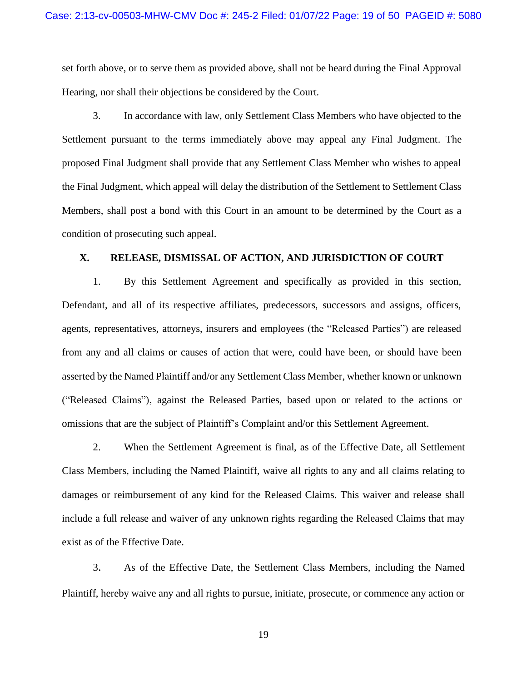set forth above, or to serve them as provided above, shall not be heard during the Final Approval Hearing, nor shall their objections be considered by the Court.

3. In accordance with law, only Settlement Class Members who have objected to the Settlement pursuant to the terms immediately above may appeal any Final Judgment. The proposed Final Judgment shall provide that any Settlement Class Member who wishes to appeal the Final Judgment, which appeal will delay the distribution of the Settlement to Settlement Class Members, shall post a bond with this Court in an amount to be determined by the Court as a condition of prosecuting such appeal.

## **X. RELEASE, DISMISSAL OF ACTION, AND JURISDICTION OF COURT**

1. By this Settlement Agreement and specifically as provided in this section, Defendant, and all of its respective affiliates, predecessors, successors and assigns, officers, agents, representatives, attorneys, insurers and employees (the "Released Parties") are released from any and all claims or causes of action that were, could have been, or should have been asserted by the Named Plaintiff and/or any Settlement Class Member, whether known or unknown ("Released Claims"), against the Released Parties, based upon or related to the actions or omissions that are the subject of Plaintiff's Complaint and/or this Settlement Agreement.

2. When the Settlement Agreement is final, as of the Effective Date, all Settlement Class Members, including the Named Plaintiff, waive all rights to any and all claims relating to damages or reimbursement of any kind for the Released Claims. This waiver and release shall include a full release and waiver of any unknown rights regarding the Released Claims that may exist as of the Effective Date.

3. As of the Effective Date, the Settlement Class Members, including the Named Plaintiff, hereby waive any and all rights to pursue, initiate, prosecute, or commence any action or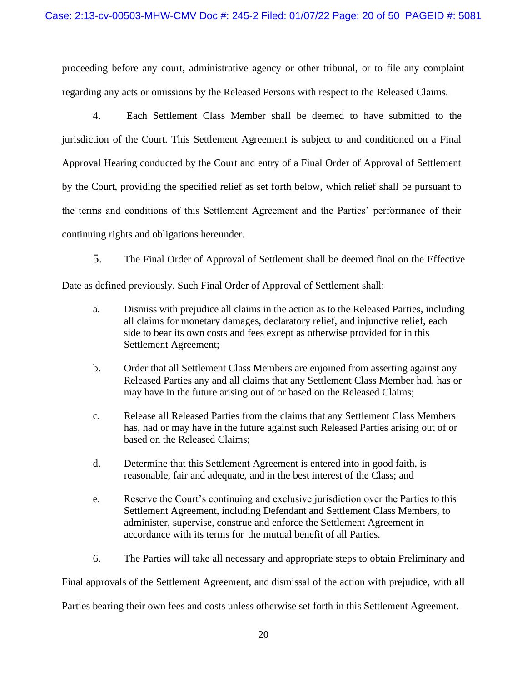proceeding before any court, administrative agency or other tribunal, or to file any complaint regarding any acts or omissions by the Released Persons with respect to the Released Claims.

4. Each Settlement Class Member shall be deemed to have submitted to the jurisdiction of the Court. This Settlement Agreement is subject to and conditioned on a Final Approval Hearing conducted by the Court and entry of a Final Order of Approval of Settlement by the Court, providing the specified relief as set forth below, which relief shall be pursuant to the terms and conditions of this Settlement Agreement and the Parties' performance of their continuing rights and obligations hereunder.

5. The Final Order of Approval of Settlement shall be deemed final on the Effective

Date as defined previously. Such Final Order of Approval of Settlement shall:

- a. Dismiss with prejudice all claims in the action as to the Released Parties, including all claims for monetary damages, declaratory relief, and injunctive relief, each side to bear its own costs and fees except as otherwise provided for in this Settlement Agreement;
- b. Order that all Settlement Class Members are enjoined from asserting against any Released Parties any and all claims that any Settlement Class Member had, has or may have in the future arising out of or based on the Released Claims;
- c. Release all Released Parties from the claims that any Settlement Class Members has, had or may have in the future against such Released Parties arising out of or based on the Released Claims;
- d. Determine that this Settlement Agreement is entered into in good faith, is reasonable, fair and adequate, and in the best interest of the Class; and
- e. Reserve the Court's continuing and exclusive jurisdiction over the Parties to this Settlement Agreement, including Defendant and Settlement Class Members, to administer, supervise, construe and enforce the Settlement Agreement in accordance with its terms for the mutual benefit of all Parties.
- 6. The Parties will take all necessary and appropriate steps to obtain Preliminary and

Final approvals of the Settlement Agreement, and dismissal of the action with prejudice, with all

Parties bearing their own fees and costs unless otherwise set forth in this Settlement Agreement.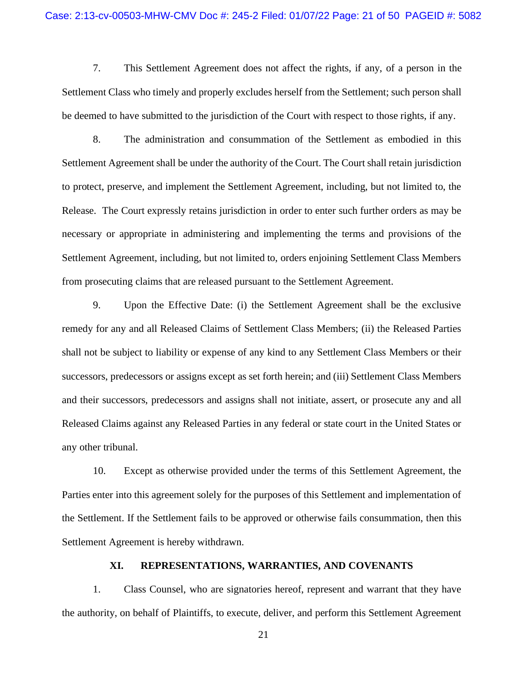7. This Settlement Agreement does not affect the rights, if any, of a person in the Settlement Class who timely and properly excludes herself from the Settlement; such person shall be deemed to have submitted to the jurisdiction of the Court with respect to those rights, if any.

8. The administration and consummation of the Settlement as embodied in this Settlement Agreement shall be under the authority of the Court. The Court shall retain jurisdiction to protect, preserve, and implement the Settlement Agreement, including, but not limited to, the Release. The Court expressly retains jurisdiction in order to enter such further orders as may be necessary or appropriate in administering and implementing the terms and provisions of the Settlement Agreement, including, but not limited to, orders enjoining Settlement Class Members from prosecuting claims that are released pursuant to the Settlement Agreement.

9. Upon the Effective Date: (i) the Settlement Agreement shall be the exclusive remedy for any and all Released Claims of Settlement Class Members; (ii) the Released Parties shall not be subject to liability or expense of any kind to any Settlement Class Members or their successors, predecessors or assigns except as set forth herein; and (iii) Settlement Class Members and their successors, predecessors and assigns shall not initiate, assert, or prosecute any and all Released Claims against any Released Parties in any federal or state court in the United States or any other tribunal.

10. Except as otherwise provided under the terms of this Settlement Agreement, the Parties enter into this agreement solely for the purposes of this Settlement and implementation of the Settlement. If the Settlement fails to be approved or otherwise fails consummation, then this Settlement Agreement is hereby withdrawn.

## **XI. REPRESENTATIONS, WARRANTIES, AND COVENANTS**

1. Class Counsel, who are signatories hereof, represent and warrant that they have the authority, on behalf of Plaintiffs, to execute, deliver, and perform this Settlement Agreement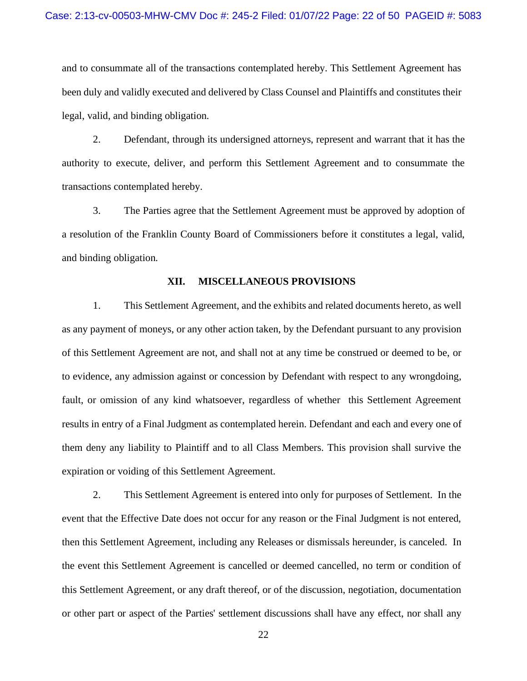and to consummate all of the transactions contemplated hereby. This Settlement Agreement has been duly and validly executed and delivered by Class Counsel and Plaintiffs and constitutes their legal, valid, and binding obligation.

2. Defendant, through its undersigned attorneys, represent and warrant that it has the authority to execute, deliver, and perform this Settlement Agreement and to consummate the transactions contemplated hereby.

3. The Parties agree that the Settlement Agreement must be approved by adoption of a resolution of the Franklin County Board of Commissioners before it constitutes a legal, valid, and binding obligation.

## **XII. MISCELLANEOUS PROVISIONS**

1. This Settlement Agreement, and the exhibits and related documents hereto, as well as any payment of moneys, or any other action taken, by the Defendant pursuant to any provision of this Settlement Agreement are not, and shall not at any time be construed or deemed to be, or to evidence, any admission against or concession by Defendant with respect to any wrongdoing, fault, or omission of any kind whatsoever, regardless of whether this Settlement Agreement results in entry of a Final Judgment as contemplated herein. Defendant and each and every one of them deny any liability to Plaintiff and to all Class Members. This provision shall survive the expiration or voiding of this Settlement Agreement.

2. This Settlement Agreement is entered into only for purposes of Settlement. In the event that the Effective Date does not occur for any reason or the Final Judgment is not entered, then this Settlement Agreement, including any Releases or dismissals hereunder, is canceled. In the event this Settlement Agreement is cancelled or deemed cancelled, no term or condition of this Settlement Agreement, or any draft thereof, or of the discussion, negotiation, documentation or other part or aspect of the Parties' settlement discussions shall have any effect, nor shall any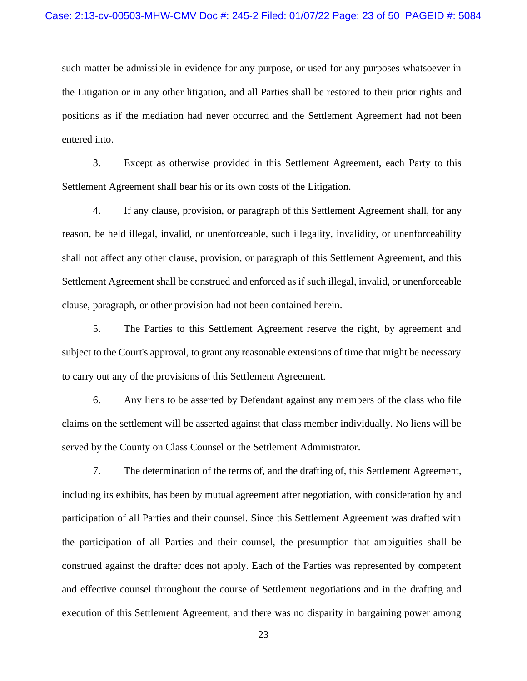such matter be admissible in evidence for any purpose, or used for any purposes whatsoever in the Litigation or in any other litigation, and all Parties shall be restored to their prior rights and positions as if the mediation had never occurred and the Settlement Agreement had not been entered into.

3. Except as otherwise provided in this Settlement Agreement, each Party to this Settlement Agreement shall bear his or its own costs of the Litigation.

4. If any clause, provision, or paragraph of this Settlement Agreement shall, for any reason, be held illegal, invalid, or unenforceable, such illegality, invalidity, or unenforceability shall not affect any other clause, provision, or paragraph of this Settlement Agreement, and this Settlement Agreement shall be construed and enforced as if such illegal, invalid, or unenforceable clause, paragraph, or other provision had not been contained herein.

5. The Parties to this Settlement Agreement reserve the right, by agreement and subject to the Court's approval, to grant any reasonable extensions of time that might be necessary to carry out any of the provisions of this Settlement Agreement.

6. Any liens to be asserted by Defendant against any members of the class who file claims on the settlement will be asserted against that class member individually. No liens will be served by the County on Class Counsel or the Settlement Administrator.

7. The determination of the terms of, and the drafting of, this Settlement Agreement, including its exhibits, has been by mutual agreement after negotiation, with consideration by and participation of all Parties and their counsel. Since this Settlement Agreement was drafted with the participation of all Parties and their counsel, the presumption that ambiguities shall be construed against the drafter does not apply. Each of the Parties was represented by competent and effective counsel throughout the course of Settlement negotiations and in the drafting and execution of this Settlement Agreement, and there was no disparity in bargaining power among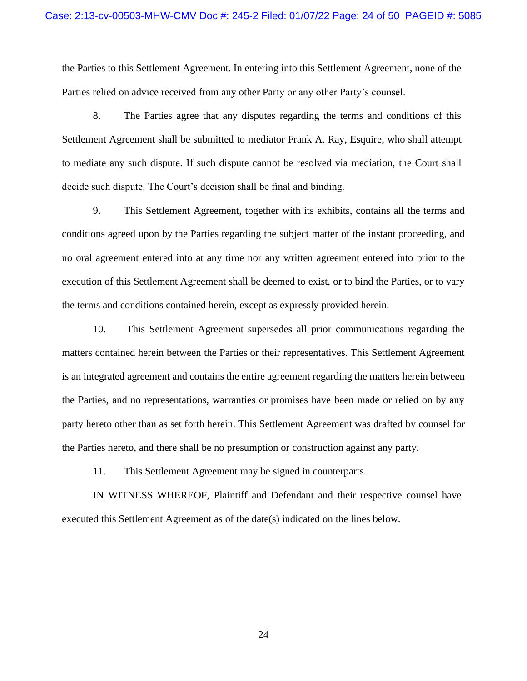the Parties to this Settlement Agreement. In entering into this Settlement Agreement, none of the Parties relied on advice received from any other Party or any other Party's counsel.

8. The Parties agree that any disputes regarding the terms and conditions of this Settlement Agreement shall be submitted to mediator Frank A. Ray, Esquire, who shall attempt to mediate any such dispute. If such dispute cannot be resolved via mediation, the Court shall decide such dispute. The Court's decision shall be final and binding.

9. This Settlement Agreement, together with its exhibits, contains all the terms and conditions agreed upon by the Parties regarding the subject matter of the instant proceeding, and no oral agreement entered into at any time nor any written agreement entered into prior to the execution of this Settlement Agreement shall be deemed to exist, or to bind the Parties, or to vary the terms and conditions contained herein, except as expressly provided herein.

10. This Settlement Agreement supersedes all prior communications regarding the matters contained herein between the Parties or their representatives. This Settlement Agreement is an integrated agreement and contains the entire agreement regarding the matters herein between the Parties, and no representations, warranties or promises have been made or relied on by any party hereto other than as set forth herein. This Settlement Agreement was drafted by counsel for the Parties hereto, and there shall be no presumption or construction against any party.

11. This Settlement Agreement may be signed in counterparts.

IN WITNESS WHEREOF, Plaintiff and Defendant and their respective counsel have executed this Settlement Agreement as of the date(s) indicated on the lines below.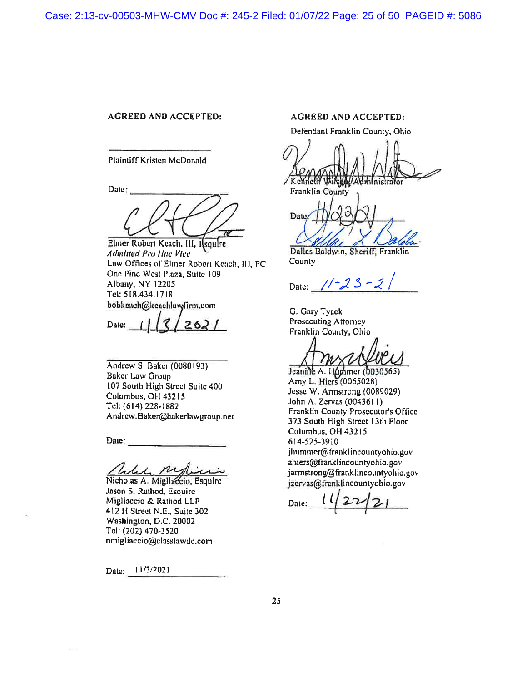### **AGREED AND ACCEPTED:**

**Plaintiff Kristen McDonald** 

Date:

Eliner Robert Keach, III, Ilsquire **Admitted Pro Hac Vice** Law Offices of Elmer Robert Keach, III, PC One Pine West Plaza, Suite 109 Albany, NY 12205 Tel: 518.434.1718 bobkeach@keachlawfirm.com

2621 Date:

Andrew S. Baker (0080193) **Baker Law Group** 107 South High Street Suite 400 Columbus, OH 43215 Tel: (614) 228-1882 Andrew.Baker@bakerlawgroup.net

Date:

he my

Nicholas A. Migliaccio, Esquire Jason S. Rathod, Esquire Migliaccio & Rathod LLP 412 H Street N.E., Suite 302 Washington, D.C. 20002 Tel: (202) 470-3520 nmigliaccio@classlawdc.com

Date: 11/3/2021

#### **AGREED AND ACCEPTED:**

Defendant Franklin County, Ohio

Kenneth

Franklin County

Date:

Dallas Baldwin, Sheriff, Franklin County

Date:  $11 - 23 - 2$ 

G. Gary Tyack Prosecuting Attorney Franklin County, Ohio

Jeanine A. 11(ummer (0030565) Amy L. Hiers (0065028) Jesse W. Armstrong (0089029) John A. Zervas (0043611) Franklin County Prosecutor's Office 373 South High Street 13th Floor Columbus, OH 43215 614-525-3910 jhummer@franklincountyohio.gov ahiers@franklincountyohio.gov jarmstrong@franklincountyohio.gov jzervas@franklincountyohio.gov

 $\iota\iota$  $22$ Date: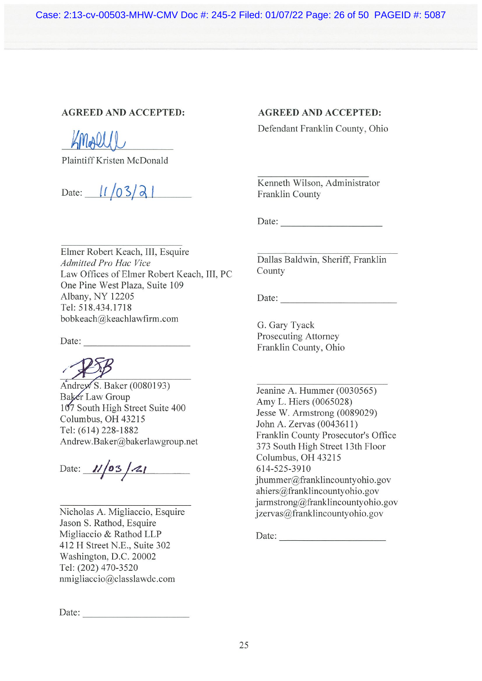Case: 2:13-cv-00503-MHW-CMV Doc #: 245-2 Filed: 01/07/22 Page: 26 of 50 PAGEID #: 5087

# **AGREED AND ACCEPTED:**

KMARL

Plaintiff Kristen McDonald

Date:  $1/03/2$ 

# **AGREED AND ACCEPTED:**

Defendant Franklin County, Ohio

Kenneth Wilson, Administrator Franklin County

Date:

Elmer Robert Keach, III, Esquire Admitted Pro Hac Vice Law Offices of Elmer Robert Keach, III, PC One Pine West Plaza, Suite 109 Albany, NY 12205 Tel: 518.434.1718 bobkeach@keachlawfirm.com

Date:

 $\widehat{\text{Andrew S}}$ . Baker (0080193) Baker Law Group 107 South High Street Suite 400 Columbus, OH 43215 Tel: (614) 228-1882 Andrew.Baker@bakerlawgroup.net

Date:  $1/|05/21|$ 

Nicholas A. Migliaccio, Esquire Jason S. Rathod, Esquire Migliaccio & Rathod LLP 412 H Street N.E., Suite 302 Washington, D.C. 20002 Tel: (202) 470-3520 nmigliaccio@classlawdc.com

Date:

Dallas Baldwin, Sheriff, Franklin County

Date:

G. Gary Tyack Prosecuting Attorney Franklin County, Ohio

Jeanine A. Hummer (0030565) Amy L. Hiers (0065028) Jesse W. Armstrong (0089029) John A. Zervas (0043611) Franklin County Prosecutor's Office 373 South High Street 13th Floor Columbus, OH 43215 614-525-3910 jhummer@franklincountyohio.gov ahiers@franklincountyohio.gov jarmstrong@franklincountyohio.gov jzervas@franklincountyohio.gov

Date: